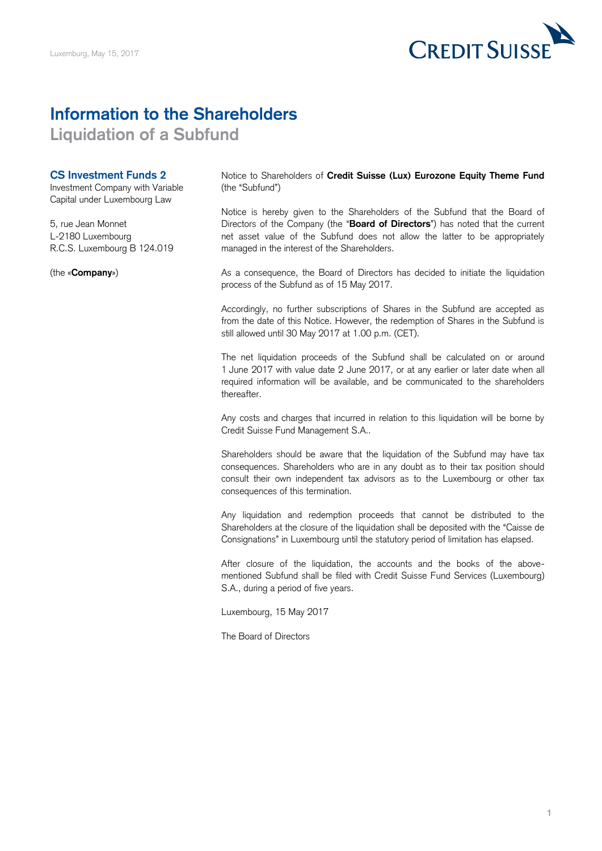

## **Information to the Shareholders**

**Liquidation of a Subfund** 

## **CS Investment Funds 2**

Investment Company with Variable Capital under Luxembourg Law

5, rue Jean Monnet L-2180 Luxembourg R.C.S. Luxembourg B 124.019

(the «**Company**»)

Notice to Shareholders of **Credit Suisse (Lux) Eurozone Equity Theme Fund**  (the "Subfund")

 Notice is hereby given to the Shareholders of the Subfund that the Board of Directors of the Company (the "**Board of Directors**") has noted that the current net asset value of the Subfund does not allow the latter to be appropriately managed in the interest of the Shareholders.

 As a consequence, the Board of Directors has decided to initiate the liquidation process of the Subfund as of 15 May 2017.

 Accordingly, no further subscriptions of Shares in the Subfund are accepted as from the date of this Notice. However, the redemption of Shares in the Subfund is still allowed until 30 May 2017 at 1.00 p.m. (CET).

 The net liquidation proceeds of the Subfund shall be calculated on or around 1 June 2017 with value date 2 June 2017, or at any earlier or later date when all required information will be available, and be communicated to the shareholders thereafter.

 Any costs and charges that incurred in relation to this liquidation will be borne by Credit Suisse Fund Management S.A..

 Shareholders should be aware that the liquidation of the Subfund may have tax consequences. Shareholders who are in any doubt as to their tax position should consult their own independent tax advisors as to the Luxembourg or other tax consequences of this termination.

 Any liquidation and redemption proceeds that cannot be distributed to the Shareholders at the closure of the liquidation shall be deposited with the "Caisse de Consignations" in Luxembourg until the statutory period of limitation has elapsed.

 After closure of the liquidation, the accounts and the books of the above- mentioned Subfund shall be filed with Credit Suisse Fund Services (Luxembourg) S.A., during a period of five years.

Luxembourg, 15 May 2017

The Board of Directors